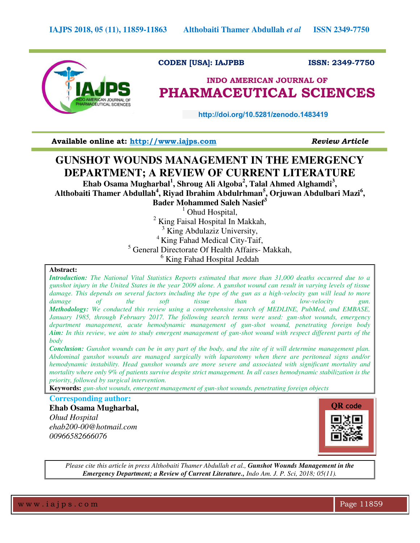

## **CODEN [USA]: IAJPBB ISSN: 2349-7750**

# **INDO AMERICAN JOURNAL OF PHARMACEUTICAL SCIENCES**

 **http://doi.org/10.5281/zenodo.1483419** 

**Available online at: [http://www.iajps.com](http://www.iajps.com/)** *Review Article*

# **GUNSHOT WOUNDS MANAGEMENT IN THE EMERGENCY DEPARTMENT; A REVIEW OF CURRENT LITERATURE**

**Ehab Osama Mugharbal<sup>1</sup> , Shroug Ali Algoba<sup>2</sup> , Talal Ahmed Alghamdi<sup>3</sup> ,**  Althobaiti Thamer Abdullah<sup>4</sup>, Riyad Ibrahim Abdulrhman<sup>5</sup>, Orjuwan Abdulbari Mazi<sup>6</sup>,

**Bader Mohammed Saleh Nasief<sup>3</sup>**

<sup>1</sup> Ohud Hospital,

<sup>2</sup> King Faisal Hospital In Makkah,

<sup>3</sup> King Abdulaziz University,

 $4$  King Fahad Medical City-Taif,

5 General Directorate Of Health Affairs- Makkah,

6 King Fahad Hospital Jeddah

#### **Abstract:**

*Introduction: The National Vital Statistics Reports estimated that more than 31,000 deaths occurred due to a gunshot injury in the United States in the year 2009 alone. A gunshot wound can result in varying levels of tissue damage. This depends on several factors including the type of the gun as a high-velocity gun will lead to more damage of the soft tissue than a low-velocity gun. damage of the soft tissue than a low-velocity gun. Methodology: We conducted this review using a comprehensive search of MEDLINE, PubMed, and EMBASE, January 1985, through February 2017. The following search terms were used: gun-shot wounds, emergency department management, acute hemodynamic management of gun-shot wound, penetrating foreign body Aim: In this review, we aim to study emergent management of gun-shot wound with respect different parts of the body* 

*Conclusion: Gunshot wounds can be in any part of the body, and the site of it will determine management plan. Abdominal gunshot wounds are managed surgically with laparotomy when there are peritoneal signs and/or hemodynamic instability. Head gunshot wounds are more severe and associated with significant mortality and mortality where only 9% of patients survive despite strict management. In all cases hemodynamic stabilization is the priority, followed by surgical intervention.* 

**Keywords:** *gun-shot wounds, emergent management of gun-shot wounds, penetrating foreign objects*

## **Corresponding author:**

**Ehab Osama Mugharbal,** 

*Ohud Hospital ehab200-00@hotmail.com 00966582666076* 



*Please cite this article in press Althobaiti Thamer Abdullah et al., Gunshot Wounds Management in the Emergency Department; a Review of Current Literature., Indo Am. J. P. Sci, 2018; 05(11).*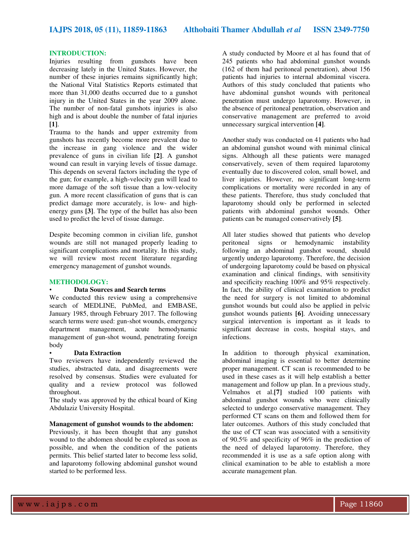#### **INTRODUCTION:**

Injuries resulting from gunshots have been decreasing lately in the United States. However, the number of these injuries remains significantly high; the National Vital Statistics Reports estimated that more than 31,000 deaths occurred due to a gunshot injury in the United States in the year 2009 alone. The number of non-fatal gunshots injuries is also high and is about double the number of fatal injuries **[1]**.

Trauma to the hands and upper extremity from gunshots has recently become more prevalent due to the increase in gang violence and the wider prevalence of guns in civilian life **[2]**. A gunshot wound can result in varying levels of tissue damage. This depends on several factors including the type of the gun; for example, a high-velocity gun will lead to more damage of the soft tissue than a low-velocity gun. A more recent classification of guns that is can predict damage more accurately, is low- and highenergy guns **[3]**. The type of the bullet has also been used to predict the level of tissue damage.

Despite becoming common in civilian life, gunshot wounds are still not managed properly leading to significant complications and mortality. In this study, we will review most recent literature regarding emergency management of gunshot wounds.

#### **METHODOLOGY:**

### • **Data Sources and Search terms**

We conducted this review using a comprehensive search of MEDLINE, PubMed, and EMBASE, January 1985, through February 2017. The following search terms were used: gun-shot wounds, emergency department management, acute hemodynamic management of gun-shot wound, penetrating foreign body

#### • **Data Extraction**

Two reviewers have independently reviewed the studies, abstracted data, and disagreements were resolved by consensus. Studies were evaluated for quality and a review protocol was followed throughout.

The study was approved by the ethical board of King Abdulaziz University Hospital.

#### **Management of gunshot wounds to the abdomen:**

Previously, it has been thought that any gunshot wound to the abdomen should be explored as soon as possible, and when the condition of the patients permits. This belief started later to become less solid, and laparotomy following abdominal gunshot wound started to be performed less.

A study conducted by Moore et al has found that of 245 patients who had abdominal gunshot wounds (162 of them had peritoneal penetration), about 156 patients had injuries to internal abdominal viscera. Authors of this study concluded that patients who have abdominal gunshot wounds with peritoneal penetration must undergo laparotomy. However, in the absence of peritoneal penetration, observation and conservative management are preferred to avoid unnecessary surgical intervention **[4]**.

Another study was conducted on 41 patients who had an abdominal gunshot wound with minimal clinical signs. Although all these patients were managed conservatively, seven of them required laparotomy eventually due to discovered colon, small bowel, and liver injuries. However, no significant long-term complications or mortality were recorded in any of these patients. Therefore, thus study concluded that laparotomy should only be performed in selected patients with abdominal gunshot wounds. Other patients can be managed conservatively **[5]**.

All later studies showed that patients who develop peritoneal signs or hemodynamic instability following an abdominal gunshot wound, should urgently undergo laparotomy. Therefore, the decision of undergoing laparotomy could be based on physical examination and clinical findings, with sensitivity and specificity reaching 100% and 95% respectively. In fact, the ability of clinical examination to predict the need for surgery is not limited to abdominal gunshot wounds but could also be applied in pelvic gunshot wounds patients **[6]**. Avoiding unnecessary surgical intervention is important as it leads to significant decrease in costs, hospital stays, and infections.

In addition to thorough physical examination, abdominal imaging is essential to better determine proper management. CT scan is recommended to be used in these cases as it will help establish a better management and follow up plan. In a previous study, Velmahos et al.**[7]** studied 100 patients with abdominal gunshot wounds who were clinically selected to undergo conservative management. They performed CT scans on them and followed them for later outcomes. Authors of this study concluded that the use of CT scan was associated with a sensitivity of 90.5% and specificity of 96% in the prediction of the need of delayed laparotomy. Therefore, they recommended it is use as a safe option along with clinical examination to be able to establish a more accurate management plan.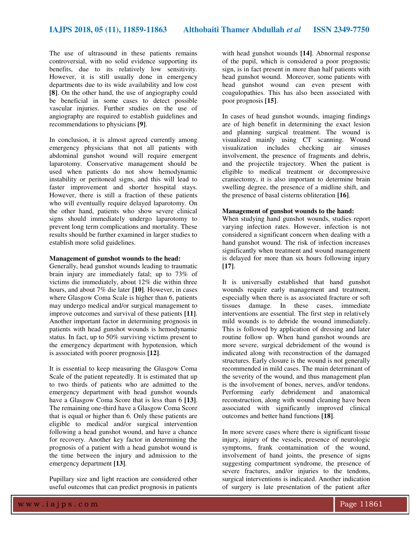The use of ultrasound in these patients remains controversial, with no solid evidence supporting its benefits, due to its relatively low sensitivity. However, it is still usually done in emergency departments due to its wide availability and low cost **[8]**. On the other hand, the use of angiography could be beneficial in some cases to detect possible vascular injuries. Further studies on the use of angiography are required to establish guidelines and recommendations to physicians **[9]**.

In conclusion, it is almost agreed currently among emergency physicians that not all patients with abdominal gunshot wound will require emergent laparotomy. Conservative management should be used when patients do not show hemodynamic instability or peritoneal signs, and this will lead to faster improvement and shorter hospital stays. However, there is still a fraction of these patients who will eventually require delayed laparotomy. On the other hand, patients who show severe clinical signs should immediately undergo laparotomy to prevent long term complications and mortality. These results should be further examined in larger studies to establish more solid guidelines.

#### **Management of gunshot wounds to the head:**

Generally, head gunshot wounds leading to traumatic brain injury are immediately fatal; up to 73% of victims die immediately, about 12% die within three hours, and about 7% die later **[10]**. However, in cases where Glasgow Coma Scale is higher than 6, patients may undergo medical and/or surgical management to improve outcomes and survival of these patients **[11]**. Another important factor in determining prognosis in patients with head gunshot wounds is hemodynamic status. In fact, up to 50% surviving victims present to the emergency department with hypotension, which is associated with poorer prognosis **[12]**.

It is essential to keep measuring the Glasgow Coma Scale of the patient repeatedly. It is estimated that up to two thirds of patients who are admitted to the emergency department with head gunshot wounds have a Glasgow Coma Score that is less than 6 **[13]**. The remaining one-third have a Glasgow Coma Score that is equal or higher than 6. Only these patients are eligible to medical and/or surgical intervention following a head gunshot wound, and have a chance for recovery. Another key factor in determining the prognosis of a patient with a head gunshot wound is the time between the injury and admission to the emergency department **[13]**.

Pupillary size and light reaction are considered other useful outcomes that can predict prognosis in patients

with head gunshot wounds **[14]**. Abnormal response of the pupil, which is considered a poor prognostic sign, is in fact present in more than half patients with head gunshot wound. Moreover, some patients with head gunshot wound can even present with coagulopathies. This has also been associated with poor prognosis **[15]**.

In cases of head gunshot wounds, imaging findings are of high benefit in determining the exact lesion and planning surgical treatment. The wound is visualized mainly using CT scanning. Wound visualization includes checking air sinuses involvement, the presence of fragments and debris, and the projectile trajectory. When the patient is eligible to medical treatment or decompressive craniectomy, it is also important to determine brain swelling degree, the presence of a midline shift, and the presence of basal cisterns obliteration **[16]**.

### **Management of gunshot wounds to the hand:**

When studying hand gunshot wounds, studies report varying infection rates. However, infection is not considered a significant concern when dealing with a hand gunshot wound. The risk of infection increases significantly when treatment and wound management is delayed for more than six hours following injury **[17]**.

It is universally established that hand gunshot wounds require early management and treatment, especially when there is as associated fracture or soft tissues damage. In these cases, immediate interventions are essential. The first step in relatively mild wounds is to debride the wound immediately. This is followed by application of dressing and later routine follow up. When hand gunshot wounds are more severe, surgical debridement of the wound is indicated along with reconstruction of the damaged structures. Early closure is the wound is not generally recommended in mild cases. The main determinant of the severity of the wound, and thus management plan is the involvement of bones, nerves, and/or tendons. Performing early debridement and anatomical reconstruction, along with wound cleaning have been associated with significantly improved clinical outcomes and better hand functions **[18]**.

In more severe cases where there is significant tissue injury, injury of the vessels, presence of neurologic symptoms, frank contamination of the wound, involvement of hand joints, the presence of signs suggesting compartment syndrome, the presence of severe fractures, and/or injuries to the tendons, surgical interventions is indicated. Another indication of surgery is late presentation of the patient after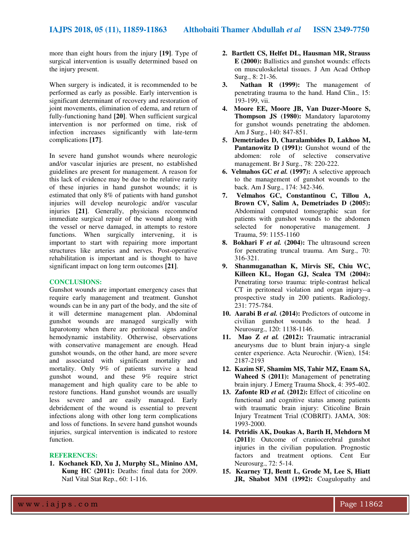more than eight hours from the injury **[19]**. Type of surgical intervention is usually determined based on the injury present.

When surgery is indicated, it is recommended to be performed as early as possible. Early intervention is significant determinant of recovery and restoration of joint movements, elimination of edema, and return of fully-functioning hand **[20]**. When sufficient surgical intervention is nor performed on time, risk of infection increases significantly with late-term complications **[17]**.

In severe hand gunshot wounds where neurologic and/or vascular injuries are present, no established guidelines are present for management. A reason for this lack of evidence may be due to the relative rarity of these injuries in hand gunshot wounds; it is estimated that only 8% of patients with hand gunshot injuries will develop neurologic and/or vascular injuries **[21]**. Generally, physicians recommend immediate surgical repair of the wound along with the vessel or nerve damaged, in attempts to restore functions. When surgically intervening, it is important to start with repairing more important structures like arteries and nerves. Post-operative rehabilitation is important and is thought to have significant impact on long term outcomes **[21]**.

#### **CONCLUSIONS:**

Gunshot wounds are important emergency cases that require early management and treatment. Gunshot wounds can be in any part of the body, and the site of it will determine management plan. Abdominal gunshot wounds are managed surgically with laparotomy when there are peritoneal signs and/or hemodynamic instability. Otherwise, observations with conservative management are enough. Head gunshot wounds, on the other hand, are more severe and associated with significant mortality and mortality. Only 9% of patients survive a head gunshot wound, and these 9% require strict management and high quality care to be able to restore functions. Hand gunshot wounds are usually less severe and are easily managed. Early debridement of the wound is essential to prevent infections along with other long term complications and loss of functions. In severe hand gunshot wounds injuries, surgical intervention is indicated to restore function.

#### **REFERENCES:**

**1. Kochanek KD, Xu J, Murphy SL, Minino AM, Kung HC (2011):** Deaths: final data for 2009. Natl Vital Stat Rep., 60: 1-116.

- **2. Bartlett CS, Helfet DL, Hausman MR, Strauss E (2000):** Ballistics and gunshot wounds: effects on musculoskeletal tissues. J Am Acad Orthop Surg., 8: 21-36.
- **3. Nathan R (1999):** The management of penetrating trauma to the hand. Hand Clin., 15: 193-199, vii.
- **4. Moore EE, Moore JB, Van Duzer-Moore S, Thompson JS (1980):** Mandatory laparotomy for gunshot wounds penetrating the abdomen. Am J Surg., 140: 847-851.
- **5. Demetriades D, Charalambides D, Lakhoo M, Pantanowitz D (1991):** Gunshot wound of the abdomen: role of selective conservative management. Br J Surg., 78: 220-222.
- **6. Velmahos GC** *et al.* **(1997):** A selective approach to the management of gunshot wounds to the back. Am J Surg., 174: 342-346.
- **7. Velmahos GC, Constantinou C, Tillou A, Brown CV, Salim A, Demetriades D (2005):** Abdominal computed tomographic scan for patients with gunshot wounds to the abdomen selected for nonoperative management. J Trauma, 59: 1155-1160
- **8. Bokhari F** *et al.* **(2004):** The ultrasound screen for penetrating truncal trauma. Am Surg., 70: 316-321.
- **9. Shanmuganathan K, Mirvis SE, Chiu WC, Killeen KL, Hogan GJ, Scalea TM (2004):** Penetrating torso trauma: triple-contrast helical CT in peritoneal violation and organ injury--a prospective study in 200 patients. Radiology, 231: 775-784.
- **10. Aarabi B** *et al.* **(2014):** Predictors of outcome in civilian gunshot wounds to the head. J Neurosurg., 120: 1138-1146.
- **11. Mao Z** *et al.* **(2012):** Traumatic intracranial aneurysms due to blunt brain injury-a single center experience. Acta Neurochir. (Wien), 154: 2187-2193
- **12. Kazim SF, Shamim MS, Tahir MZ, Enam SA, Waheed S (2011):** Management of penetrating brain injury. J Emerg Trauma Shock, 4: 395-402.
- **13. Zafonte RD** *et al.* **(2012):** Effect of citicoline on functional and cognitive status among patients with traumatic brain injury: Citicoline Brain Injury Treatment Trial (COBRIT). JAMA, 308: 1993-2000.
- **14. Petridis AK, Doukas A, Barth H, Mehdorn M (2011):** Outcome of craniocerebral gunshot injuries in the civilian population. Prognostic factors and treatment options. Cent Eur Neurosurg., 72: 5-14.
- **15. Kearney TJ, Bentt L, Grode M, Lee S, Hiatt JR, Shabot MM (1992):** Coagulopathy and